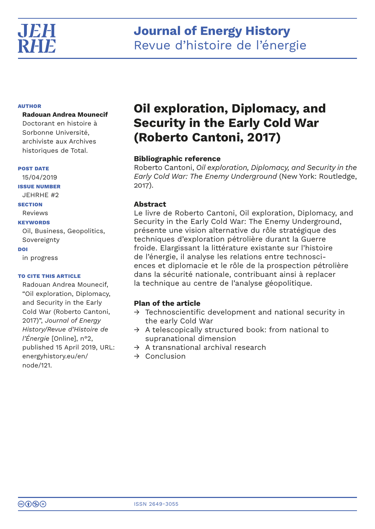

# **Journal of Energy History** Revue d'histoire de l'énergie

# **AUTHOR**

## **Radouan Andrea Mounecif**

Doctorant en histoire à Sorbonne Université, archiviste aux Archives historiques de Total.

#### **POST DATE**

15/04/2019 **ISSUE NUMBER** JEHRHE #2 **SECTION**

## Reviews

## **KEYWORDS**

Oil, Business, Geopolitics, Sovereignty **DOI**

in progress

## **TO CITE THIS ARTICLE**

Radouan Andrea Mounecif, "Oil exploration, Diplomacy, and Security in the Early Cold War (Roberto Cantoni, 2017)", *Journal of Energy History/Revue d'Histoire de l'Énergie* [Online], n°2, published 15 April 2019, URL: energyhistory.eu/en/ node/121.

# **Oil exploration, Diplomacy, and Security in the Early Cold War (Roberto Cantoni, 2017)**

# **Bibliographic reference**

Roberto Cantoni, *Oil exploration, Diplomacy, and Security in the Early Cold War: The Enemy Underground* (New York: Routledge, 2017).

# **Abstract**

Le livre de Roberto Cantoni, Oil exploration, Diplomacy, and Security in the Early Cold War: The Enemy Underground, présente une vision alternative du rôle stratégique des techniques d'exploration pétrolière durant la Guerre froide. Elargissant la littérature existante sur l'histoire de l'énergie, il analyse les relations entre technosciences et diplomacie et le rôle de la prospection pétrolière dans la sécurité nationale, contribuant ainsi à replacer la technique au centre de l'analyse géopolitique.

# **Plan of the article**

- $\rightarrow$  Technoscientific development and national security in [the early Cold War](http://www.energyhistory.eu/fr/recensions/oil-exploration-diplomacy-and-security-early-cold-war-roberto-cantoni-2017#technoscientific-development-and-national-security-in-the-early-cold-war)
- $\rightarrow$  A telescopically structured book: from national to [supranational dimension](http://www.energyhistory.eu/fr/recensions/oil-exploration-diplomacy-and-security-early-cold-war-roberto-cantoni-2017#a-telescopically-structured-book-from-national-to-supranational-dimension)
- $\rightarrow$  [A transnational archival research](http://www.energyhistory.eu/fr/recensions/oil-exploration-diplomacy-and-security-early-cold-war-roberto-cantoni-2017#a-transnational-archival-research)
- $\rightarrow$  [Conclusion](http://www.energyhistory.eu/fr/recensions/oil-exploration-diplomacy-and-security-early-cold-war-roberto-cantoni-2017#conclusion)

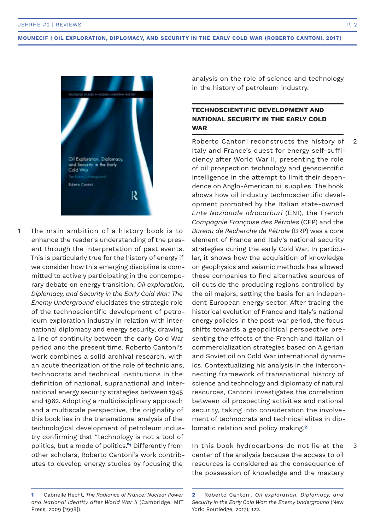

The main ambition of a history book is to enhance the reader's understanding of the present through the interpretation of past events. This is particularly true for the history of energy if we consider how this emerging discipline is committed to actively participating in the contemporary debate on energy transition. *Oil exploration, Diplomacy, and Security in the Early Cold War: The Enemy Underground* elucidates the strategic role of the technoscientific development of petroleum exploration industry in relation with international diplomacy and energy security, drawing a line of continuity between the early Cold War period and the present time. Roberto Cantoni's work combines a solid archival research, with an acute theorization of the role of technicians, technocrats and technical institutions in the definition of national, supranational and international energy security strategies between 1945 and 1962. Adopting a multidisciplinary approach and a multiscale perspective, the originality of this book lies in the transnational analysis of the technological development of petroleum industry confirming that "technology is not a tool of politics, but a mode of politics."**1** Differently from other scholars, Roberto Cantoni's work contributes to develop energy studies by focusing the 1

analysis on the role of science and technology in the history of petroleum industry.

# **TECHNOSCIENTIFIC DEVELOPMENT AND NATIONAL SECURITY IN THE EARLY COLD WAR**

Roberto Cantoni reconstructs the history of Italy and France's quest for energy self-sufficiency after World War II, presenting the role of oil prospection technology and geoscientific intelligence in the attempt to limit their dependence on Anglo-American oil supplies. The book shows how oil industry technoscientific development promoted by the Italian state-owned *Ente Nazionale Idrocarburi* (ENI), the French *Compagnie Française des Pétroles* (CFP) and the *Bureau de Recherche de Pétrole* (BRP) was a core element of France and Italy's national security strategies during the early Cold War. In particular, it shows how the acquisition of knowledge on geophysics and seismic methods has allowed these companies to find alternative sources of oil outside the producing regions controlled by the oil majors, setting the basis for an independent European energy sector. After tracing the historical evolution of France and Italy's national energy policies in the post-war period, the focus shifts towards a geopolitical perspective presenting the effects of the French and Italian oil commercialization strategies based on Algerian and Soviet oil on Cold War international dynamics. Contextualizing his analysis in the interconnecting framework of transnational history of science and technology and diplomacy of natural resources, Cantoni investigates the correlation between oil prospecting activities and national security, taking into consideration the involvement of technocrats and technical elites in diplomatic relation and policy making.**<sup>2</sup>**

In this book hydrocarbons do not lie at the center of the analysis because the access to oil resources is considered as the consequence of the possession of knowledge and the mastery

2

3

**<sup>1</sup>** Gabrielle Hecht, *The Radiance of France: Nuclear Power and National Identity after World War II* (Cambridge: MIT Press, 2009 [1998]).

**<sup>2</sup>** Roberto Cantoni, *Oil exploration, Diplomacy, and Security in the Early Cold War: the Enemy Underground* (New York: Routledge, 2017), 122.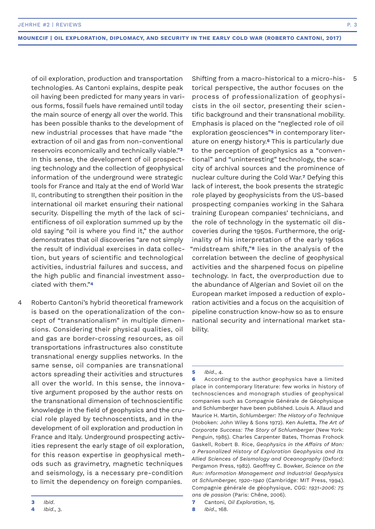of oil exploration, production and transportation technologies. As Cantoni explains, despite peak oil having been predicted for many years in various forms, fossil fuels have remained until today the main source of energy all over the world. This has been possible thanks to the development of new industrial processes that have made "the extraction of oil and gas from non-conventional reservoirs economically and technically viable."**<sup>3</sup>** In this sense, the development of oil prospecting technology and the collection of geophysical information of the underground were strategic tools for France and Italy at the end of World War II, contributing to strengthen their position in the international oil market ensuring their national security. Dispelling the myth of the lack of scientificness of oil exploration summed up by the old saying "oil is where you find it," the author demonstrates that oil discoveries "are not simply the result of individual exercises in data collection, but years of scientific and technological activities, industrial failures and success, and the high public and financial investment associated with them."**<sup>4</sup>**

Roberto Cantoni's hybrid theoretical framework is based on the operationalization of the concept of "transnationalism" in multiple dimensions. Considering their physical qualities, oil and gas are border-crossing resources, as oil transportations infrastructures also constitute transnational energy supplies networks. In the same sense, oil companies are transnational actors spreading their activities and structures all over the world. In this sense, the innovative argument proposed by the author rests on the transnational dimension of technoscientific knowledge in the field of geophysics and the crucial role played by technoscentists, and in the development of oil exploration and production in France and Italy. Underground prospecting activities represent the early stage of oil exploration, for this reason expertise in geophysical methods such as gravimetry, magnetic techniques and seismology, is a necessary pre-condition to limit the dependency on foreign companies. 4

Shifting from a macro-historical to a micro-historical perspective, the author focuses on the process of professionalization of geophysicists in the oil sector, presenting their scientific background and their transnational mobility. Emphasis is placed on the "neglected role of oil exploration geosciences"**5** in contemporary literature on energy history.**6** This is particularly due to the perception of geophysics as a "conventional" and "uninteresting" technology, the scarcity of archival sources and the prominence of nuclear culture during the Cold War.**7** Defying this lack of interest, the book presents the strategic role played by geophysicists from the US-based prospecting companies working in the Sahara training European companies' technicians, and the role of technology in the systematic oil discoveries during the 1950s. Furthermore, the originality of his interpretation of the early 1960s "midstream shift,"**8** lies in the analysis of the correlation between the decline of geophysical activities and the sharpened focus on pipeline technology. In fact, the overproduction due to the abundance of Algerian and Soviet oil on the European market imposed a reduction of exploration activities and a focus on the acquisition of pipeline construction know-how so as to ensure national security and international market stability.

#### **5** *Ibid*., 4.

**6** According to the author geophysics have a limited place in contemporary literature: few works in history of technosciences and monograph studies of geophysical companies such as Compagnie Générale de Géophysique and Schlumberger have been published. Louis A. Allaud and Maurice H. Martin, *Schlumberger: The History of a Technique* (Hoboken: John Wiley & Sons 1972). Ken Auletta, *The Art of Corporate Success: The Story of Schlumberger* (New York: Penguin, 1985). Charles Carpenter Bates, Thomas Frohock Gaskell, Robert B. Rice, *Geophysics in the Affairs of Man: a Personalized History of Exploration Geophysics and its Allied Sciences of Seismology and Oceanography* (Oxford: Pergamon Press, 1982). Geoffrey C. Bowker, *Science on the Run: Information Management and Industrial Geophysics at Schlumberger, 1920-1940* (Cambridge: MIT Press, 1994). Compagnie générale de géophysique, *CGG: 1931-2006: 75 ans de passion* (Paris: Chêne, 2006).

5

**<sup>3</sup>** *Ibid*.

**<sup>4</sup>** *Ibid*., 3.

**<sup>7</sup>** Cantoni, *Oil Exploration*, 15.

**<sup>8</sup>** *Ibid*., 168.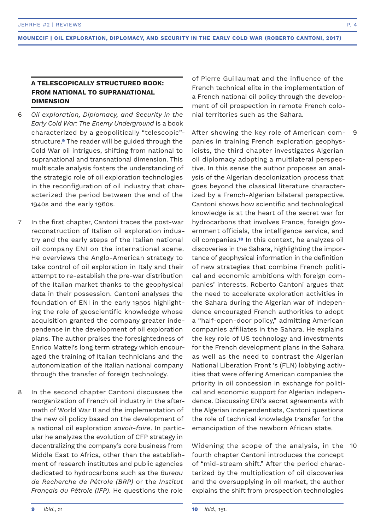# **A TELESCOPICALLY STRUCTURED BOOK: FROM NATIONAL TO SUPRANATIONAL DIMENSION**

- *Oil exploration, Diplomacy, and Security in the Early Cold War: The Enemy Underground* is a book characterized by a geopolitically "telescopic" structure.**9** The reader will be guided through the Cold War oil intrigues, shifting from national to supranational and transnational dimension. This multiscale analysis fosters the understanding of the strategic role of oil exploration technologies in the reconfiguration of oil industry that characterized the period between the end of the 1940s and the early 1960s. 6
- In the first chapter, Cantoni traces the post-war reconstruction of Italian oil exploration industry and the early steps of the Italian national oil company ENI on the international scene. He overviews the Anglo-American strategy to take control of oil exploration in Italy and their attempt to re-establish the pre-war distribution of the Italian market thanks to the geophysical data in their possession. Cantoni analyses the foundation of ENI in the early 1950s highlighting the role of geoscientific knowledge whose acquisition granted the company greater independence in the development of oil exploration plans. The author praises the foresightedness of Enrico Mattei's long term strategy which encouraged the training of Italian technicians and the autonomization of the Italian national company through the transfer of foreign technology. 7
- In the second chapter Cantoni discusses the reorganization of French oil industry in the aftermath of World War II and the implementation of the new oil policy based on the development of a national oil exploration *savoir-faire*. In particular he analyzes the evolution of CFP strategy in decentralizing the company's core business from Middle East to Africa, other than the establishment of research institutes and public agencies dedicated to hydrocarbons such as the *Bureau de Recherche de Pétrole (BRP)* or the *Institut Français du Pétrole (IFP)*. He questions the role 8

of Pierre Guillaumat and the influence of the French technical elite in the implementation of a French national oil policy through the development of oil prospection in remote French colonial territories such as the Sahara.

After showing the key role of American companies in training French exploration geophysicists, the third chapter investigates Algerian oil diplomacy adopting a multilateral perspective. In this sense the author proposes an analysis of the Algerian decolonization process that goes beyond the classical literature characterized by a French-Algerian bilateral perspective. Cantoni shows how scientific and technological knowledge is at the heart of the secret war for hydrocarbons that involves France, foreign government officials, the intelligence service, and oil companies.**10** In this context, he analyzes oil discoveries in the Sahara, highlighting the importance of geophysical information in the definition of new strategies that combine French political and economic ambitions with foreign companies' interests. Roberto Cantoni argues that the need to accelerate exploration activities in the Sahara during the Algerian war of independence encouraged French authorities to adopt a "half-open-door policy," admitting American companies affiliates in the Sahara. He explains the key role of US technology and investments for the French development plans in the Sahara as well as the need to contrast the Algerian National Liberation Front 's (FLN) lobbying activities that were offering American companies the priority in oil concession in exchange for political and economic support for Algerian independence. Discussing ENI's secret agreements with the Algerian independentists, Cantoni questions the role of technical knowledge transfer for the emancipation of the newborn African state. 9

Widening the scope of the analysis, in the 10fourth chapter Cantoni introduces the concept of "mid-stream shift." After the period characterized by the multiplication of oil discoveries and the oversupplying in oil market, the author explains the shift from prospection technologies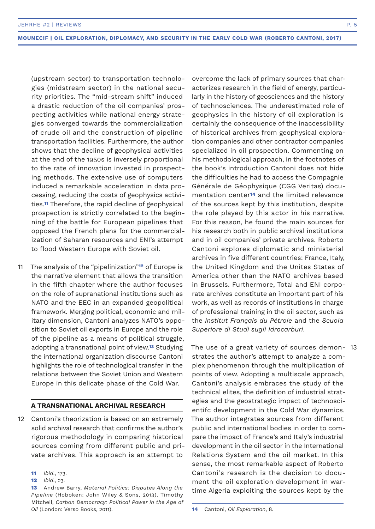(upstream sector) to transportation technologies (midstream sector) in the national security priorities. The "mid-stream shift" induced a drastic reduction of the oil companies' prospecting activities while national energy strategies converged towards the commercialization of crude oil and the construction of pipeline transportation facilities. Furthermore, the author shows that the decline of geophysical activities at the end of the 1950s is inversely proportional to the rate of innovation invested in prospecting methods. The extensive use of computers induced a remarkable acceleration in data processing, reducing the costs of geophysics activities.**11** Therefore, the rapid decline of geophysical prospection is strictly correlated to the beginning of the battle for European pipelines that opposed the French plans for the commercialization of Saharan resources and ENI's attempt to flood Western Europe with Soviet oil.

The analysis of the "pipelinization"**12** of Europe is the narrative element that allows the transition in the fifth chapter where the author focuses on the role of supranational institutions such as NATO and the EEC in an expanded geopolitical framework. Merging political, economic and military dimension, Cantoni analyzes NATO's opposition to Soviet oil exports in Europe and the role of the pipeline as a means of political struggle, adopting a transnational point of view.**13** Studying the international organization discourse Cantoni highlights the role of technological transfer in the relations between the Soviet Union and Western Europe in this delicate phase of the Cold War. 11

## **A TRANSNATIONAL ARCHIVAL RESEARCH**

Cantoni's theorization is based on an extremely 12 solid archival research that confirms the author's rigorous methodology in comparing historical sources coming from different public and private archives. This approach is an attempt to

overcome the lack of primary sources that characterizes research in the field of energy, particularly in the history of geosciences and the history of technosciences. The underestimated role of geophysics in the history of oil exploration is certainly the consequence of the inaccessibility of historical archives from geophysical exploration companies and other contractor companies specialized in oil prospection. Commenting on his methodological approach, in the footnotes of the book's introduction Cantoni does not hide the difficulties he had to access the Compagnie Générale de Géophysique (CGG Veritas) documentation center**14** and the limited relevance of the sources kept by this institution, despite the role played by this actor in his narrative. For this reason, he found the main sources for his research both in public archival institutions and in oil companies' private archives. Roberto Cantoni explores diplomatic and ministerial archives in five different countries: France, Italy, the United Kingdom and the Unites States of America other than the NATO archives based in Brussels. Furthermore, Total and ENI corporate archives constitute an important part of his work, as well as records of institutions in charge of professional training in the oil sector, such as the *Institut Français du Pétrole* and the *Scuola Superiore di Studi sugli Idrocarburi*.

The use of a great variety of sources demon-13strates the author's attempt to analyze a complex phenomenon through the multiplication of points of view. Adopting a multiscale approach, Cantoni's analysis embraces the study of the technical elites, the definition of industrial strategies and the geostrategic impact of technoscientifc development in the Cold War dynamics. The author integrates sources from different public and international bodies in order to compare the impact of France's and Italy's industrial development in the oil sector in the International Relations System and the oil market. In this sense, the most remarkable aspect of Roberto Cantoni's research is the decision to document the oil exploration development in wartime Algeria exploiting the sources kept by the

**<sup>11</sup>** *Ibid*., 173.

**<sup>12</sup>** *Ibid*., 23.

**<sup>13</sup>** Andrew Barry, *Material Politics: Disputes Along the Pipeline* (Hoboken: John Wiley & Sons, 2013). Timothy Mitchell, *Carbon Democracy: Political Power in the Age of Oil* (London: Verso Books, 2011).

**<sup>14</sup>** Cantoni, *Oil Exploration*, 8.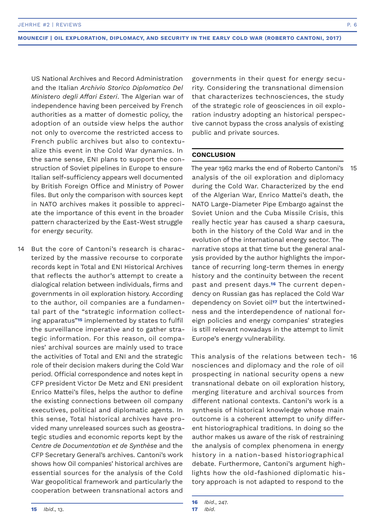US National Archives and Record Administration and the Italian *Archivio Storico Diplomatico Del Ministero degli Affari Esteri*. The Algerian war of independence having been perceived by French authorities as a matter of domestic policy, the adoption of an outside view helps the author not only to overcome the restricted access to French public archives but also to contextualize this event in the Cold War dynamics. In the same sense, ENI plans to support the construction of Soviet pipelines in Europe to ensure Italian self-sufficiency appears well documented by British Foreign Office and Ministry of Power files. But only the comparison with sources kept in NATO archives makes it possible to appreciate the importance of this event in the broader pattern characterized by the East-West struggle for energy security.

But the core of Cantoni's research is characterized by the massive recourse to corporate records kept in Total and ENI Historical Archives that reflects the author's attempt to create a dialogical relation between individuals, firms and governments in oil exploration history. According to the author, oil companies are a fundamental part of the "strategic information collecting apparatus"**15** implemented by states to fulfil the surveillance imperative and to gather strategic information. For this reason, oil companies' archival sources are mainly used to trace the activities of Total and ENI and the strategic role of their decision makers during the Cold War period. Official correspondence and notes kept in CFP president Victor De Metz and ENI president Enrico Mattei's files, helps the author to define the existing connections between oil company executives, political and diplomatic agents. In this sense, Total historical archives have provided many unreleased sources such as geostrategic studies and economic reports kept by the *Centre de Documentation et de Synthèse* and the CFP Secretary General's archives. Cantoni's work shows how Oil companies' historical archives are essential sources for the analysis of the Cold War geopolitical framework and particularly the cooperation between transnational actors and 14

governments in their quest for energy security. Considering the transnational dimension that characterizes technosciences, the study of the strategic role of geosciences in oil exploration industry adopting an historical perspective cannot bypass the cross analysis of existing public and private sources.

# **CONCLUSION**

The year 1962 marks the end of Roberto Cantoni's analysis of the oil exploration and diplomacy during the Cold War. Characterized by the end of the Algerian War, Enrico Mattei's death, the NATO Large-Diameter Pipe Embargo against the Soviet Union and the Cuba Missile Crisis, this really hectic year has caused a sharp caesura, both in the history of the Cold War and in the evolution of the international energy sector. The narrative stops at that time but the general analysis provided by the author highlights the importance of recurring long-term themes in energy history and the continuity between the recent past and present days.**16** The current dependency on Russian gas has replaced the Cold War dependency on Soviet oil**17** but the intertwinedness and the interdependence of national foreign policies and energy companies' strategies is still relevant nowadays in the attempt to limit Europe's energy vulnerability.

This analysis of the relations between tech-16 nosciences and diplomacy and the role of oil prospecting in national security opens a new transnational debate on oil exploration history, merging literature and archival sources from different national contexts. Cantoni's work is a synthesis of historical knowledge whose main outcome is a coherent attempt to unify different historiographical traditions. In doing so the author makes us aware of the risk of restraining the analysis of complex phenomena in energy history in a nation-based historiographical debate. Furthermore, Cantoni's argument highlights how the old-fashioned diplomatic history approach is not adapted to respond to the

15

**<sup>16</sup>** *Ibid*., 247.

**<sup>17</sup>** *Ibid*.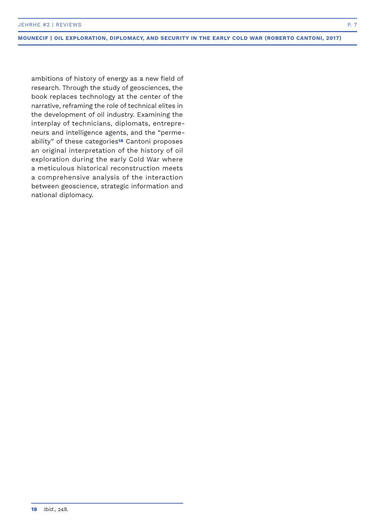ambitions of history of energy as a new field of research. Through the study of geosciences, the book replaces technology at the center of the narrative, reframing the role of technical elites in the development of oil industry. Examining the interplay of technicians, diplomats, entrepreneurs and intelligence agents, and the "permeability" of these categories**18** Cantoni proposes an original interpretation of the history of oil exploration during the early Cold War where a meticulous historical reconstruction meets a comprehensive analysis of the interaction between geoscience, strategic information and national diplomacy.